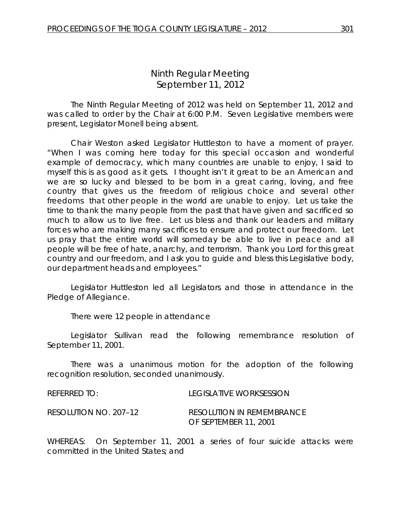# *Ninth Regular Meeting* September 11, 2012

The Ninth Regular Meeting of 2012 was held on September 11, 2012 and was called to order by the Chair at 6:00 P.M. Seven Legislative members were present, Legislator Monell being absent.

Chair Weston asked Legislator Huttleston to have a moment of prayer. "When I was coming here today for this special occasion and wonderful example of democracy, which many countries are unable to enjoy, I said to myself this is as good as it gets. I thought isn't it great to be an American and we are so lucky and blessed to be born in a great caring, loving, and free country that gives us the freedom of religious choice and several other freedoms that other people in the world are unable to enjoy. Let us take the time to thank the many people from the past that have given and sacrificed so much to allow us to live free. Let us bless and thank our leaders and military forces who are making many sacrifices to ensure and protect our freedom. Let us pray that the entire world will someday be able to live in peace and all people will be free of hate, anarchy, and terrorism. Thank you Lord for this great country and our freedom, and I ask you to guide and bless this Legislative body, our department heads and employees."

Legislator Huttleston led all Legislators and those in attendance in the Pledge of Allegiance.

There were 12 people in attendance

Legislator Sullivan read the following remembrance resolution of September 11, 2001.

There was a unanimous motion for the adoption of the following recognition resolution, seconded unanimously.

| REFERRED TO:          | LEGISLATIVE WORKSESSION          |
|-----------------------|----------------------------------|
| RESOLUTION NO. 207–12 | <b>RESOLUTION IN REMEMBRANCE</b> |
|                       | OF SEPTEMBER 11, 2001            |

WHEREAS: On September 11, 2001 a series of four suicide attacks were committed in the United States; and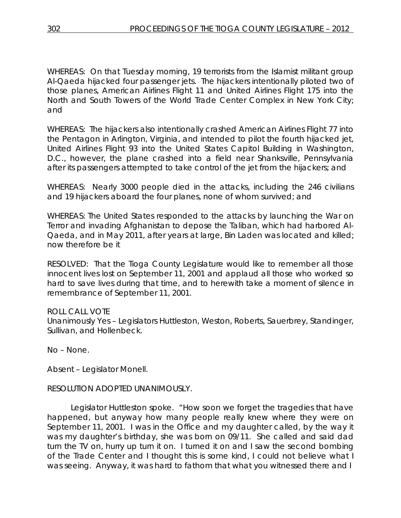WHEREAS: On that Tuesday morning, 19 terrorists from the Islamist militant group Al-Qaeda hijacked four passenger jets. The hijackers intentionally piloted two of those planes, American Airlines Flight 11 and United Airlines Flight 175 into the North and South Towers of the World Trade Center Complex in New York City; and

WHEREAS: The hijackers also intentionally crashed American Airlines Flight 77 into the Pentagon in Arlington, Virginia, and intended to pilot the fourth hijacked jet, United Airlines Flight 93 into the United States Capitol Building in Washington, D.C., however, the plane crashed into a field near Shanksville, Pennsylvania after its passengers attempted to take control of the jet from the hijackers; and

WHEREAS: Nearly 3000 people died in the attacks, including the 246 civilians and 19 hijackers aboard the four planes, none of whom survived; and

WHEREAS: The United States responded to the attacks by launching the War on Terror and invading Afghanistan to depose the Taliban, which had harbored Al-Qaeda, and in May 2011, after years at large, Bin Laden was located and killed; now therefore be it

RESOLVED: That the Tioga County Legislature would like to remember all those innocent lives lost on September 11, 2001 and applaud all those who worked so hard to save lives during that time, and to herewith take a moment of silence in remembrance of September 11, 2001.

## ROLL CALL VOTE

Unanimously Yes – Legislators Huttleston, Weston, Roberts, Sauerbrey, Standinger, Sullivan, and Hollenbeck.

No – None.

Absent – Legislator Monell.

## RESOLUTION ADOPTED UNANIMOUSLY.

Legislator Huttleston spoke. "How soon we forget the tragedies that have happened, but anyway how many people really knew where they were on September 11, 2001. I was in the Office and my daughter called, by the way it was my daughter's birthday, she was born on 09/11. She called and said dad turn the TV on, hurry up turn it on. I turned it on and I saw the second bombing of the Trade Center and I thought this is some kind, I could not believe what I was seeing. Anyway, it was hard to fathom that what you witnessed there and I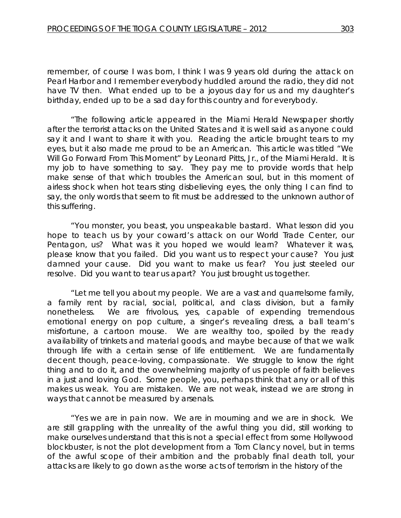remember, of course I was born, I think I was 9 years old during the attack on Pearl Harbor and I remember everybody huddled around the radio, they did not have TV then. What ended up to be a joyous day for us and my daughter's birthday, ended up to be a sad day for this country and for everybody.

"The following article appeared in the Miami Herald Newspaper shortly after the terrorist attacks on the United States and it is well said as anyone could say it and I want to share it with you. Reading the article brought tears to my eyes, but it also made me proud to be an American. This article was titled "We Will Go Forward From This Moment" by Leonard Pitts, Jr., of the Miami Herald. It is my job to have something to say. They pay me to provide words that help make sense of that which troubles the American soul, but in this moment of airless shock when hot tears sting disbelieving eyes, the only thing I can find to say, the only words that seem to fit must be addressed to the unknown author of this suffering.

"You monster, you beast, you unspeakable bastard. What lesson did you hope to teach us by your coward's attack on our World Trade Center, our Pentagon, us? What was it you hoped we would learn? Whatever it was, please know that you failed. Did you want us to respect your cause? You just damned your cause. Did you want to make us fear? You just steeled our resolve. Did you want to tear us apart? You just brought us together.

"Let me tell you about my people. We are a vast and quarrelsome family, a family rent by racial, social, political, and class division, but a family nonetheless. We are frivolous, yes, capable of expending tremendous emotional energy on pop culture, a singer's revealing dress, a ball team's misfortune, a cartoon mouse. We are wealthy too, spoiled by the ready availability of trinkets and material goods, and maybe because of that we walk through life with a certain sense of life entitlement. We are fundamentally decent though, peace-loving, compassionate. We struggle to know the right thing and to do it, and the overwhelming majority of us people of faith believes in a just and loving God. Some people, you, perhaps think that any or all of this makes us weak. You are mistaken. We are not weak, instead we are strong in ways that cannot be measured by arsenals.

"Yes we are in pain now. We are in mourning and we are in shock. We are still grappling with the unreality of the awful thing you did, still working to make ourselves understand that this is not a special effect from some Hollywood blockbuster, is not the plot development from a Tom Clancy novel, but in terms of the awful scope of their ambition and the probably final death toll, your attacks are likely to go down as the worse acts of terrorism in the history of the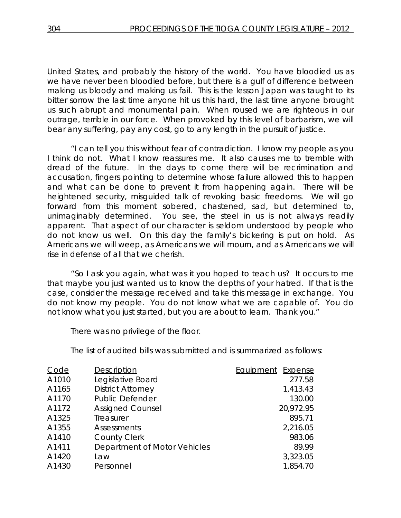United States, and probably the history of the world. You have bloodied us as we have never been bloodied before, but there is a gulf of difference between making us bloody and making us fail. This is the lesson Japan was taught to its bitter sorrow the last time anyone hit us this hard, the last time anyone brought us such abrupt and monumental pain. When roused we are righteous in our outrage, terrible in our force. When provoked by this level of barbarism, we will bear any suffering, pay any cost, go to any length in the pursuit of justice.

"I can tell you this without fear of contradiction. I know my people as you I think do not. What I know reassures me. It also causes me to tremble with dread of the future. In the days to come there will be recrimination and accusation, fingers pointing to determine whose failure allowed this to happen and what can be done to prevent it from happening again. There will be heightened security, misguided talk of revoking basic freedoms. We will go forward from this moment sobered, chastened, sad, but determined to, unimaginably determined. You see, the steel in us is not always readily apparent. That aspect of our character is seldom understood by people who do not know us well. On this day the family's bickering is put on hold. As Americans we will weep, as Americans we will mourn, and as Americans we will rise in defense of all that we cherish.

"So I ask you again, what was it you hoped to teach us? It occurs to me that maybe you just wanted us to know the depths of your hatred. If that is the case, consider the message received and take this message in exchange. You do not know my people. You do not know what we are capable of. You do not know what you just started, but you are about to learn. Thank you."

There was no privilege of the floor.

The list of audited bills was submitted and is summarized as follows:

| Description                  | Equipment<br>Expense |
|------------------------------|----------------------|
| Legislative Board            | 277.58               |
| <b>District Attorney</b>     | 1,413.43             |
| <b>Public Defender</b>       | 130.00               |
| <b>Assigned Counsel</b>      | 20,972.95            |
| Treasurer                    | 895.71               |
| Assessments                  | 2,216.05             |
| <b>County Clerk</b>          | 983.06               |
| Department of Motor Vehicles | 89.99                |
| Law                          | 3,323.05             |
| Personnel                    | 1,854.70             |
|                              |                      |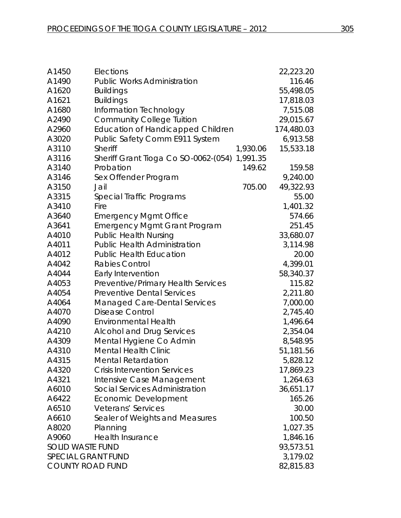| A1450                     | Elections                                        | 22,223.20  |  |
|---------------------------|--------------------------------------------------|------------|--|
| A1490                     | 116.46                                           |            |  |
| A1620                     | <b>Buildings</b>                                 |            |  |
| A1621                     | <b>Buildings</b>                                 |            |  |
| A1680                     | Information Technology                           |            |  |
| A2490                     | <b>Community College Tuition</b>                 |            |  |
| A2960                     | <b>Education of Handicapped Children</b>         | 174,480.03 |  |
| A3020                     | Public Safety Comm E911 System                   | 6,913.58   |  |
| A3110                     | Sheriff<br>1,930.06                              | 15,533.18  |  |
| A3116                     | 1,991.35<br>Sheriff Grant Tioga Co SO-0062-(054) |            |  |
| A3140                     | Probation<br>149.62                              | 159.58     |  |
| A3146                     | Sex Offender Program                             | 9,240.00   |  |
| A3150                     | 705.00<br>Jail                                   | 49,322.93  |  |
| A3315                     | Special Traffic Programs                         | 55.00      |  |
| A3410                     | Fire                                             | 1,401.32   |  |
| A3640                     | <b>Emergency Mgmt Office</b>                     | 574.66     |  |
| A3641                     | <b>Emergency Mgmt Grant Program</b>              | 251.45     |  |
| A4010                     | <b>Public Health Nursing</b>                     | 33,680.07  |  |
| A4011                     | <b>Public Health Administration</b>              | 3,114.98   |  |
| A4012                     | <b>Public Health Education</b>                   | 20.00      |  |
| A4042                     | <b>Rabies Control</b>                            | 4,399.01   |  |
| A4044                     | Early Intervention                               | 58,340.37  |  |
| A4053                     | Preventive/Primary Health Services               | 115.82     |  |
| A4054                     | <b>Preventive Dental Services</b>                | 2,211.80   |  |
| A4064                     | <b>Managed Care-Dental Services</b>              | 7,000.00   |  |
| A4070                     | <b>Disease Control</b>                           | 2,745.40   |  |
| A4090                     | <b>Environmental Health</b>                      | 1,496.64   |  |
| A4210                     | <b>Alcohol and Drug Services</b>                 | 2,354.04   |  |
| A4309                     | Mental Hygiene Co Admin                          | 8,548.95   |  |
| A4310                     | <b>Mental Health Clinic</b>                      | 51,181.56  |  |
| A4315                     | <b>Mental Retardation</b>                        | 5,828.12   |  |
| A4320                     | <b>Crisis Intervention Services</b>              | 17,869.23  |  |
| A4321                     | Intensive Case Management                        | 1,264.63   |  |
| A6010                     | Social Services Administration                   | 36,651.17  |  |
| A6422                     | Economic Development                             | 165.26     |  |
| A6510                     | Veterans' Services                               | 30.00      |  |
| A6610                     | Sealer of Weights and Measures                   | 100.50     |  |
| A8020                     | Planning                                         | 1,027.35   |  |
| A9060                     | <b>Health Insurance</b>                          | 1,846.16   |  |
| <b>SOLID WASTE FUND</b>   |                                                  | 93,573.51  |  |
| <b>SPECIAL GRANT FUND</b> |                                                  | 3,179.02   |  |
| <b>COUNTY ROAD FUND</b>   |                                                  | 82,815.83  |  |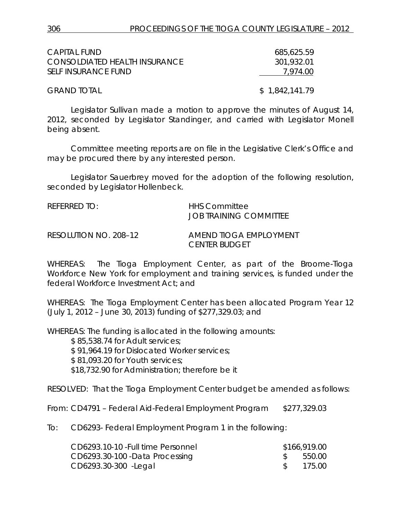| CAPITAL FUND                  | 685,625.59     |
|-------------------------------|----------------|
| CONSOLDIATED HEALTH INSURANCE | 301,932.01     |
| SELF INSURANCE FUND           | 7.974.00       |
| <b>GRAND TOTAL</b>            | \$1,842,141.79 |

Legislator Sullivan made a motion to approve the minutes of August 14, 2012, seconded by Legislator Standinger, and carried with Legislator Monell being absent.

Committee meeting reports are on file in the Legislative Clerk's Office and may be procured there by any interested person.

Legislator Sauerbrey moved for the adoption of the following resolution, seconded by Legislator Hollenbeck.

| REFERRED TO:          | <b>HHS Committee</b><br>JOB TRAINING COMMITTEE        |
|-----------------------|-------------------------------------------------------|
| RESOLUTION NO. 208–12 | <b>AMEND TIOGA EMPLOYMENT</b><br><i>CENTER BUDGET</i> |

WHEREAS: The Tioga Employment Center, as part of the Broome-Tioga Workforce New York for employment and training services, is funded under the federal Workforce Investment Act; and

WHEREAS: The Tioga Employment Center has been allocated Program Year 12 (July 1, 2012 – June 30, 2013) funding of \$277,329.03; and

WHEREAS: The funding is allocated in the following amounts:

\$ 85,538.74 for Adult services;

\$ 91,964.19 for Dislocated Worker services;

\$ 81,093.20 for Youth services;

\$18,732.90 for Administration; therefore be it

RESOLVED: That the Tioga Employment Center budget be amended as follows:

From: CD4791 – Federal Aid-Federal Employment Program \$277,329.03

To: CD6293- Federal Employment Program 1 in the following:

| CD6293.10-10 - Full time Personnel | \$166,919.00 |
|------------------------------------|--------------|
| CD6293.30-100 - Data Processing    | \$ 550.00    |
| CD6293.30-300 - Legal              | 175.00       |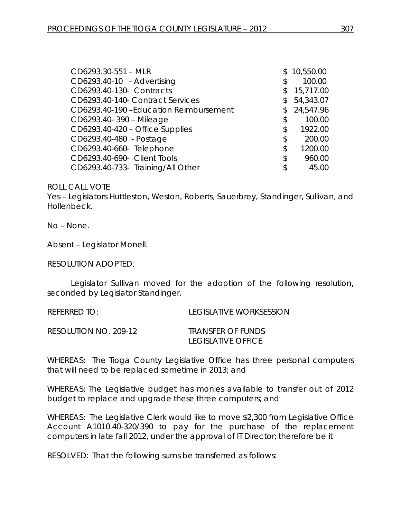| CD6293.30-551 - MLR                   | \$10,550.00     |
|---------------------------------------|-----------------|
| CD6293.40-10 - Advertising            | \$<br>100.00    |
| CD6293.40-130- Contracts              | \$<br>15,717.00 |
| CD6293.40-140- Contract Services      | \$<br>54,343.07 |
| CD6293.40-190-Education Reimbursement | \$24,547.96     |
| CD6293.40-390 - Mileage               | \$<br>100.00    |
| CD6293.40-420 - Office Supplies       | \$<br>1922.00   |
| CD6293.40-480 - Postage               | \$<br>200.00    |
| CD6293.40-660- Telephone              | \$<br>1200.00   |
| CD6293.40-690- Client Tools           | \$<br>960.00    |
| CD6293.40-733- Training/All Other     | \$<br>45.00     |

#### ROLL CALL VOTE

Yes – Legislators Huttleston, Weston, Roberts, Sauerbrey, Standinger, Sullivan, and Hollenbeck.

No – None.

Absent – Legislator Monell.

RESOLUTION ADOPTED.

Legislator Sullivan moved for the adoption of the following resolution, seconded by Legislator Standinger.

| <b>REFERRED TO:</b> | <b>LEGISLATIVE WORKSESSION</b> |
|---------------------|--------------------------------|
|                     |                                |

RESOLUTION NO. 209-12 *TRANSFER OF FUNDS*

*LEGISLATIVE OFFICE*

WHEREAS: The Tioga County Legislative Office has three personal computers that will need to be replaced sometime in 2013; and

WHEREAS: The Legislative budget has monies available to transfer out of 2012 budget to replace and upgrade these three computers; and

WHEREAS: The Legislative Clerk would like to move \$2,300 from Legislative Office Account A1010.40-320/390 to pay for the purchase of the replacement computers in late fall 2012, under the approval of IT Director; therefore be it

RESOLVED: That the following sums be transferred as follows: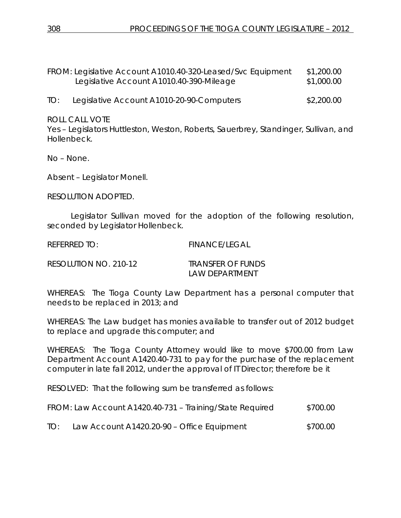FROM: Legislative Account A1010.40-320-Leased/Svc Equipment \$1,200.00 Legislative Account A1010.40-390-Mileage \$1,000.00

TO: Legislative Account A1010-20-90-Computers \$2,200.00

ROLL CALL VOTE

Yes – Legislators Huttleston, Weston, Roberts, Sauerbrey, Standinger, Sullivan, and Hollenbeck.

No – None.

Absent – Legislator Monell.

RESOLUTION ADOPTED.

Legislator Sullivan moved for the adoption of the following resolution, seconded by Legislator Hollenbeck.

REFERRED TO: FINANCE/LEGAL

RESOLUTION NO. 210-12 *TRANSFER OF FUNDS*

*LAW DEPARTMENT* 

WHEREAS: The Tioga County Law Department has a personal computer that needs to be replaced in 2013; and

WHEREAS: The Law budget has monies available to transfer out of 2012 budget to replace and upgrade this computer; and

WHEREAS: The Tioga County Attorney would like to move \$700.00 from Law Department Account A1420.40-731 to pay for the purchase of the replacement computer in late fall 2012, under the approval of IT Director; therefore be it

RESOLVED: That the following sum be transferred as follows:

|     | FROM: Law Account A1420.40-731 – Training/State Required | \$700.00 |
|-----|----------------------------------------------------------|----------|
| TO: | Law Account A1420.20-90 – Office Equipment               | \$700.00 |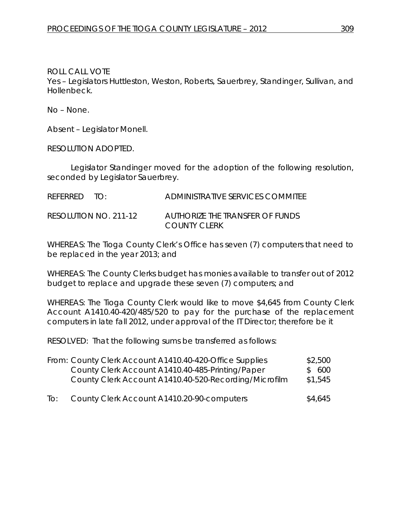ROLL CALL VOTE Yes – Legislators Huttleston, Weston, Roberts, Sauerbrey, Standinger, Sullivan, and Hollenbeck.

No – None.

Absent – Legislator Monell.

RESOLUTION ADOPTED.

Legislator Standinger moved for the adoption of the following resolution, seconded by Legislator Sauerbrey.

| REFERRED TO: |                       | ADMINISTRATIVE SERVICES COMMITEE                |
|--------------|-----------------------|-------------------------------------------------|
|              | RESOLUTION NO. 211-12 | AUTHORIZE THE TRANSFER OF FUNDS<br>COUNTY CLERK |

WHEREAS: The Tioga County Clerk's Office has seven (7) computers that need to be replaced in the year 2013; and

WHEREAS: The County Clerks budget has monies available to transfer out of 2012 budget to replace and upgrade these seven (7) computers; and

WHEREAS: The Tioga County Clerk would like to move \$4,645 from County Clerk Account A1410.40-420/485/520 to pay for the purchase of the replacement computers in late fall 2012, under approval of the IT Director; therefore be it

RESOLVED: That the following sums be transferred as follows:

|     | From: County Clerk Account A1410.40-420-Office Supplies | \$2,500 |
|-----|---------------------------------------------------------|---------|
|     | County Clerk Account A1410.40-485-Printing/Paper        | \$600   |
|     | County Clerk Account A1410.40-520-Recording/Microfilm   | \$1,545 |
| To: | County Clerk Account A1410.20-90-computers              | \$4,645 |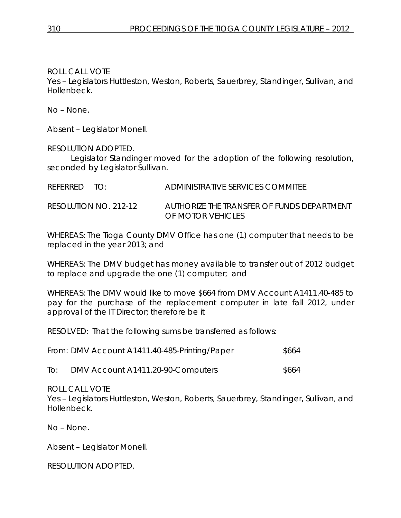ROLL CALL VOTE

Yes – Legislators Huttleston, Weston, Roberts, Sauerbrey, Standinger, Sullivan, and Hollenbeck.

No – None.

Absent – Legislator Monell.

RESOLUTION ADOPTED.

Legislator Standinger moved for the adoption of the following resolution, seconded by Legislator Sullivan.

| REFERRED TO: | ADMINISTRATIVE SERVICES COMMITEE |
|--------------|----------------------------------|
|              |                                  |

RESOLUTION NO. 212-12 *AUTHORIZE THE TRANSFER OF FUNDS DEPARTMENT OF MOTOR VEHICLES*

WHEREAS: The Tioga County DMV Office has one (1) computer that needs to be replaced in the year 2013; and

WHEREAS: The DMV budget has money available to transfer out of 2012 budget to replace and upgrade the one (1) computer; and

WHEREAS: The DMV would like to move \$664 from DMV Account A1411.40-485 to pay for the purchase of the replacement computer in late fall 2012, under approval of the IT Director; therefore be it

RESOLVED: That the following sums be transferred as follows:

| From: DMV Account A1411.40-485-Printing/Paper | \$664 |
|-----------------------------------------------|-------|
|-----------------------------------------------|-------|

To: DMV Account A1411.20-90-Computers \$664

ROLL CALL VOTE

Yes – Legislators Huttleston, Weston, Roberts, Sauerbrey, Standinger, Sullivan, and Hollenbeck.

No – None.

Absent – Legislator Monell.

RESOLUTION ADOPTED.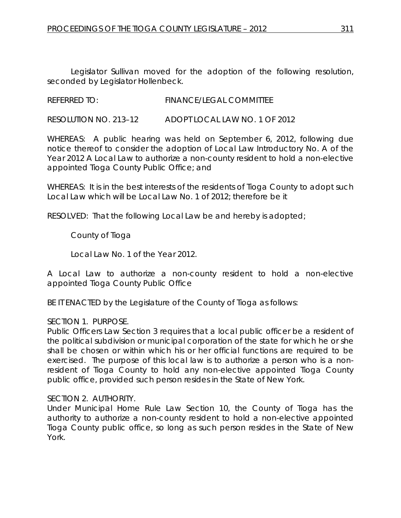Legislator Sullivan moved for the adoption of the following resolution, seconded by Legislator Hollenbeck.

REFERRED TO: FINANCE/LEGAL COMMITTEE

RESOLUTION NO. 213–12 *ADOPT LOCAL LAW NO. 1 OF 2012*

WHEREAS: A public hearing was held on September 6, 2012, following due notice thereof to consider the adoption of Local Law Introductory No. A of the Year 2012 A Local Law to authorize a non-county resident to hold a non-elective appointed Tioga County Public Office; and

WHEREAS: It is in the best interests of the residents of Tioga County to adopt such Local Law which will be Local Law No. 1 of 2012; therefore be it

RESOLVED: That the following Local Law be and hereby is adopted;

County of Tioga

Local Law No. 1 of the Year 2012.

A Local Law to authorize a non-county resident to hold a non-elective appointed Tioga County Public Office

BE IT ENACTED by the Legislature of the County of Tioga as follows:

### SECTION 1. PURPOSE.

Public Officers Law Section 3 requires that a local public officer be a resident of the political subdivision or municipal corporation of the state for which he or she shall be chosen or within which his or her official functions are required to be exercised. The purpose of this local law is to authorize a person who is a nonresident of Tioga County to hold any non-elective appointed Tioga County public office, provided such person resides in the State of New York.

### SECTION 2. AUTHORITY.

Under Municipal Home Rule Law Section 10, the County of Tioga has the authority to authorize a non-county resident to hold a non-elective appointed Tioga County public office, so long as such person resides in the State of New York.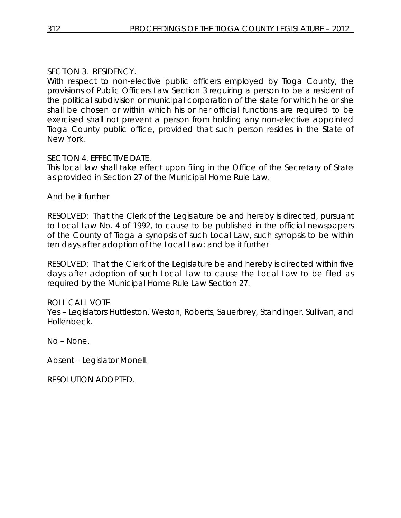## SECTION 3. RESIDENCY.

With respect to non-elective public officers employed by Tioga County, the provisions of Public Officers Law Section 3 requiring a person to be a resident of the political subdivision or municipal corporation of the state for which he or she shall be chosen or within which his or her official functions are required to be exercised shall not prevent a person from holding any non-elective appointed Tioga County public office, provided that such person resides in the State of New York.

## SECTION 4. EFFECTIVE DATE.

This local law shall take effect upon filing in the Office of the Secretary of State as provided in Section 27 of the Municipal Home Rule Law.

And be it further

RESOLVED: That the Clerk of the Legislature be and hereby is directed, pursuant to Local Law No. 4 of 1992, to cause to be published in the official newspapers of the County of Tioga a synopsis of such Local Law, such synopsis to be within ten days after adoption of the Local Law; and be it further

RESOLVED: That the Clerk of the Legislature be and hereby is directed within five days after adoption of such Local Law to cause the Local Law to be filed as required by the Municipal Home Rule Law Section 27.

## ROLL CALL VOTE

Yes – Legislators Huttleston, Weston, Roberts, Sauerbrey, Standinger, Sullivan, and Hollenbeck.

No – None.

Absent – Legislator Monell.

RESOLUTION ADOPTED.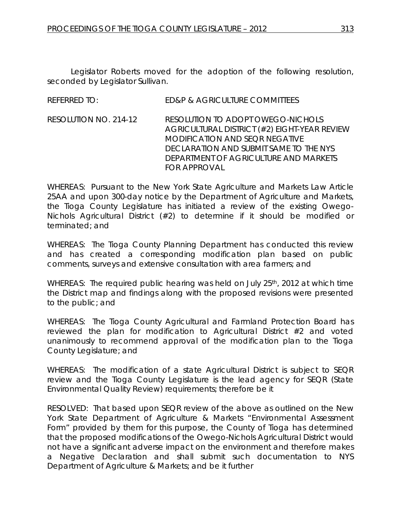Legislator Roberts moved for the adoption of the following resolution, seconded by Legislator Sullivan.

REFERRED TO: ED&P & AGRICULTURE COMMITTEES

RESOLUTION NO. 214-12 *RESOLUTION TO ADOPT OWEGO-NICHOLS AGRICULTURAL DISTRICT (#2) EIGHT-YEAR REVIEW MODIFICATION AND SEQR NEGATIVE DECLARATION AND SUBMIT SAME TO THE NYS DEPARTMENT OF AGRICULTURE AND MARKETS FOR APPROVAL* 

WHEREAS: Pursuant to the New York State Agriculture and Markets Law Article 25AA and upon 300-day notice by the Department of Agriculture and Markets, the Tioga County Legislature has initiated a review of the existing Owego-Nichols Agricultural District (#2) to determine if it should be modified or terminated; and

WHEREAS: The Tioga County Planning Department has conducted this review and has created a corresponding modification plan based on public comments, surveys and extensive consultation with area farmers; and

WHEREAS: The required public hearing was held on July 25<sup>th</sup>, 2012 at which time the District map and findings along with the proposed revisions were presented to the public; and

WHEREAS: The Tioga County Agricultural and Farmland Protection Board has reviewed the plan for modification to Agricultural District #2 and voted unanimously to recommend approval of the modification plan to the Tioga County Legislature; and

WHEREAS: The modification of a state Agricultural District is subject to SEQR review and the Tioga County Legislature is the lead agency for SEQR (State Environmental Quality Review) requirements; therefore be it

RESOLVED: That based upon SEQR review of the above as outlined on the New York State Department of Agriculture & Markets "Environmental Assessment Form" provided by them for this purpose, the County of Tioga has determined that the proposed modifications of the Owego-Nichols Agricultural District would not have a significant adverse impact on the environment and therefore makes a Negative Declaration and shall submit such documentation to NYS Department of Agriculture & Markets; and be it further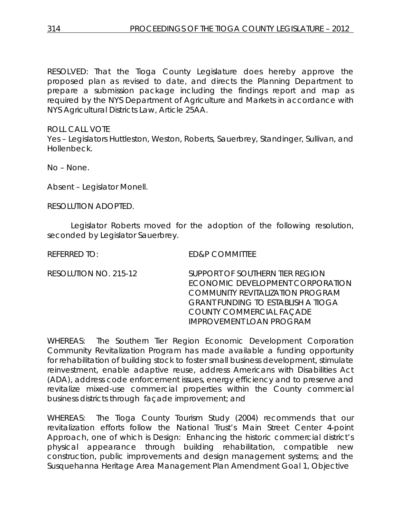RESOLVED: That the Tioga County Legislature does hereby approve the proposed plan as revised to date, and directs the Planning Department to prepare a submission package including the findings report and map as required by the NYS Department of Agriculture and Markets in accordance with NYS Agricultural Districts Law, Article 25AA.

ROLL CALL VOTE Yes – Legislators Huttleston, Weston, Roberts, Sauerbrey, Standinger, Sullivan, and Hollenbeck.

No – None.

Absent – Legislator Monell.

RESOLUTION ADOPTED.

Legislator Roberts moved for the adoption of the following resolution, seconded by Legislator Sauerbrey.

REFERRED TO: ED&P COMMITTEE

RESOLUTION NO. 215-12 *SUPPORT OF SOUTHERN TIER REGION ECONOMIC DEVELOPMENT CORPORATION COMMUNITY REVITALIZATION PROGRAM GRANT FUNDING TO ESTABLISH A TIOGA COUNTY COMMERCIAL FAÇADE IMPROVEMENT LOAN PROGRAM*

WHEREAS: The Southern Tier Region Economic Development Corporation Community Revitalization Program has made available a funding opportunity for rehabilitation of building stock to foster small business development, stimulate reinvestment, enable adaptive reuse, address Americans with Disabilities Act (ADA), address code enforcement issues, energy efficiency and to preserve and revitalize mixed-use commercial properties within the County commercial business districts through façade improvement; and

WHEREAS: The Tioga County Tourism Study (2004) recommends that our revitalization efforts follow the National Trust's Main Street Center 4-point Approach, one of which is Design: Enhancing the historic commercial district's physical appearance through building rehabilitation, compatible new construction, public improvements and design management systems; and the Susquehanna Heritage Area Management Plan Amendment Goal 1, Objective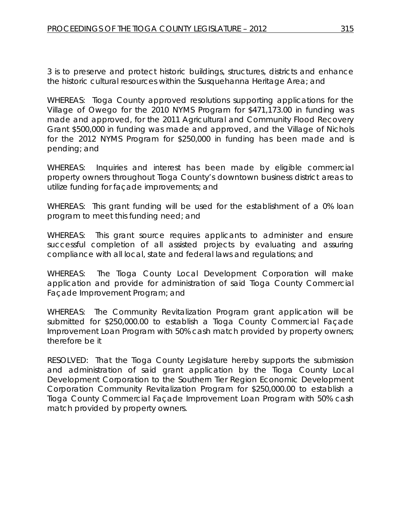3 is to preserve and protect historic buildings, structures, districts and enhance the historic cultural resources within the Susquehanna Heritage Area; and

WHEREAS: Tioga County approved resolutions supporting applications for the Village of Owego for the 2010 NYMS Program for \$471,173.00 in funding was made and approved, for the 2011 Agricultural and Community Flood Recovery Grant \$500,000 in funding was made and approved, and the Village of Nichols for the 2012 NYMS Program for \$250,000 in funding has been made and is pending; and

WHEREAS: Inquiries and interest has been made by eligible commercial property owners throughout Tioga County's downtown business district areas to utilize funding for façade improvements; and

WHEREAS: This grant funding will be used for the establishment of a 0% loan program to meet this funding need; and

WHEREAS: This grant source requires applicants to administer and ensure successful completion of all assisted projects by evaluating and assuring compliance with all local, state and federal laws and regulations; and

WHEREAS: The Tioga County Local Development Corporation will make application and provide for administration of said Tioga County Commercial Façade Improvement Program; and

WHEREAS: The Community Revitalization Program grant application will be submitted for \$250,000.00 to establish a Tioga County Commercial Façade Improvement Loan Program with 50% cash match provided by property owners; therefore be it

RESOLVED: That the Tioga County Legislature hereby supports the submission and administration of said grant application by the Tioga County Local Development Corporation to the Southern Tier Region Economic Development Corporation Community Revitalization Program for \$250,000.00 to establish a Tioga County Commercial Façade Improvement Loan Program with 50% cash match provided by property owners.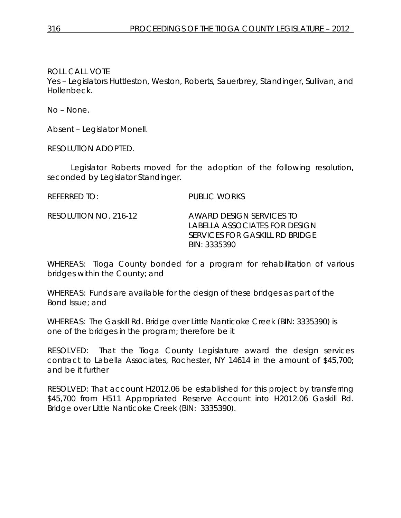ROLL CALL VOTE

Yes – Legislators Huttleston, Weston, Roberts, Sauerbrey, Standinger, Sullivan, and Hollenbeck.

No – None.

Absent – Legislator Monell.

RESOLUTION ADOPTED.

Legislator Roberts moved for the adoption of the following resolution, seconded by Legislator Standinger.

REFERRED TO: PUBLIC WORKS

RESOLUTION NO. 216-12 *AWARD DESIGN SERVICES TO LABELLA ASSOCIATES FOR DESIGN SERVICES FOR GASKILL RD BRIDGE BIN: 3335390*

WHEREAS: Tioga County bonded for a program for rehabilitation of various bridges within the County; and

WHEREAS: Funds are available for the design of these bridges as part of the Bond Issue; and

WHEREAS: The Gaskill Rd. Bridge over Little Nanticoke Creek (BIN: 3335390) is one of the bridges in the program; therefore be it

RESOLVED: That the Tioga County Legislature award the design services contract to Labella Associates, Rochester, NY 14614 in the amount of \$45,700; and be it further

RESOLVED: That account H2012.06 be established for this project by transferring \$45,700 from H511 Appropriated Reserve Account into H2012.06 Gaskill Rd. Bridge over Little Nanticoke Creek (BIN: 3335390).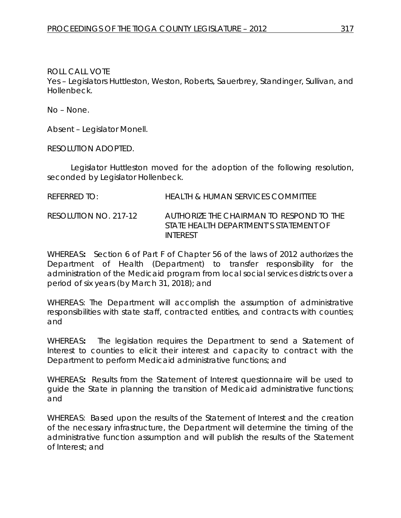ROLL CALL VOTE Yes – Legislators Huttleston, Weston, Roberts, Sauerbrey, Standinger, Sullivan, and Hollenbeck.

No – None.

Absent – Legislator Monell.

RESOLUTION ADOPTED.

Legislator Huttleston moved for the adoption of the following resolution, seconded by Legislator Hollenbeck.

REFERRED TO: HEALTH & HUMAN SERVICES COMMITTEE

RESOLUTION NO. 217-12 *AUTHORIZE THE CHAIRMAN TO RESPOND TO THE STATE HEALTH DEPARTMENT'S STATEMENT OF INTEREST*

WHEREAS**:** Section 6 of Part F of Chapter 56 of the laws of 2012 authorizes the Department of Health (Department) to transfer responsibility for the administration of the Medicaid program from local social services districts over a period of six years (by March 31, 2018); and

WHEREAS: The Department will accomplish the assumption of administrative responsibilities with state staff, contracted entities, and contracts with counties; and

WHEREAS**:** The legislation requires the Department to send a Statement of Interest to counties to elicit their interest and capacity to contract with the Department to perform Medicaid administrative functions; and

WHEREAS**:** Results from the Statement of Interest questionnaire will be used to guide the State in planning the transition of Medicaid administrative functions; and

WHEREAS: Based upon the results of the Statement of Interest and the creation of the necessary infrastructure, the Department will determine the timing of the administrative function assumption and will publish the results of the Statement of Interest; and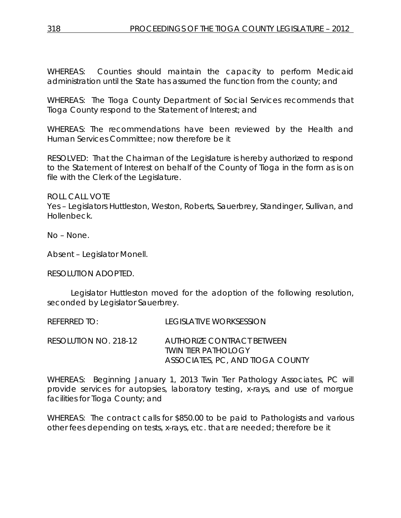WHEREAS: Counties should maintain the capacity to perform Medicaid administration until the State has assumed the function from the county; and

WHEREAS: The Tioga County Department of Social Services recommends that Tioga County respond to the Statement of Interest; and

WHEREAS: The recommendations have been reviewed by the Health and Human Services Committee; now therefore be it

RESOLVED:That the Chairman of the Legislature is hereby authorized to respond to the Statement of Interest on behalf of the County of Tioga in the form as is on file with the Clerk of the Legislature.

ROLL CALL VOTE

Yes – Legislators Huttleston, Weston, Roberts, Sauerbrey, Standinger, Sullivan, and Hollenbeck.

No – None.

Absent – Legislator Monell.

RESOLUTION ADOPTED.

Legislator Huttleston moved for the adoption of the following resolution, seconded by Legislator Sauerbrey.

REFERRED TO: LEGISLATIVE WORKSESSION

RESOLUTION NO. 218-12 *AUTHORIZE CONTRACT BETWEEN TWIN TIER PATHOLOGY ASSOCIATES, PC, AND TIOGA COUNTY*

WHEREAS: Beginning January 1, 2013 Twin Tier Pathology Associates, PC will provide services for autopsies, laboratory testing, x-rays, and use of morgue facilities for Tioga County; and

WHEREAS: The contract calls for \$850.00 to be paid to Pathologists and various other fees depending on tests, x-rays, etc. that are needed; therefore be it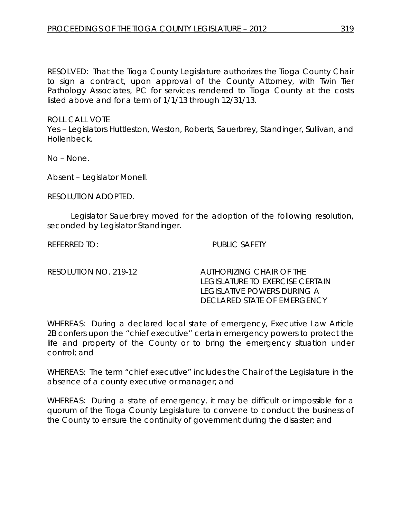RESOLVED: That the Tioga County Legislature authorizes the Tioga County Chair to sign a contract, upon approval of the County Attorney, with Twin Tier Pathology Associates, PC for services rendered to Tioga County at the costs listed above and for a term of 1/1/13 through 12/31/13.

ROLL CALL VOTE

Yes – Legislators Huttleston, Weston, Roberts, Sauerbrey, Standinger, Sullivan, and Hollenbeck.

No – None.

Absent – Legislator Monell.

RESOLUTION ADOPTED.

Legislator Sauerbrey moved for the adoption of the following resolution, seconded by Legislator Standinger.

REFERRED TO: PUBLIC SAFETY

RESOLUTION NO. 219-12 *AUTHORIZING CHAIR OF THE LEGISLATURE TO EXERCISE CERTAIN LEGISLATIVE POWERS DURING A DECLARED STATE OF EMERGENCY*

WHEREAS: During a declared local state of emergency, Executive Law Article 2B confers upon the "chief executive" certain emergency powers to protect the life and property of the County or to bring the emergency situation under control; and

WHEREAS: The term "chief executive" includes the Chair of the Legislature in the absence of a county executive or manager; and

WHEREAS: During a state of emergency, it may be difficult or impossible for a quorum of the Tioga County Legislature to convene to conduct the business of the County to ensure the continuity of government during the disaster; and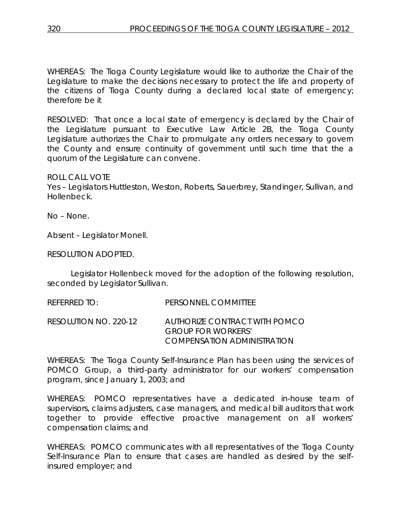WHEREAS: The Tioga County Legislature would like to authorize the Chair of the Legislature to make the decisions necessary to protect the life and property of the citizens of Tioga County during a declared local state of emergency; therefore be it

RESOLVED: That once a local state of emergency is declared by the Chair of the Legislature pursuant to Executive Law Article 2B, the Tioga County Legislature authorizes the Chair to promulgate any orders necessary to govern the County and ensure continuity of government until such time that the a quorum of the Legislature can convene.

ROLL CALL VOTE

Yes – Legislators Huttleston, Weston, Roberts, Sauerbrey, Standinger, Sullivan, and Hollenbeck.

No – None.

Absent – Legislator Monell.

RESOLUTION ADOPTED.

Legislator Hollenbeck moved for the adoption of the following resolution, seconded by Legislator Sullivan.

REFERRED TO: PERSONNEL COMMITTEE

RESOLUTION NO. 220-12 *AUTHORIZE CONTRACT WITH POMCO GROUP FOR WORKERS' COMPENSATION ADMINISTRATION*

WHEREAS: The Tioga County Self-Insurance Plan has been using the services of POMCO Group, a third-party administrator for our workers' compensation program, since January 1, 2003; and

WHEREAS: POMCO representatives have a dedicated in-house team of supervisors, claims adjusters, case managers, and medical bill auditors that work together to provide effective proactive management on all workers' compensation claims; and

WHEREAS: POMCO communicates with all representatives of the Tioga County Self-Insurance Plan to ensure that cases are handled as desired by the selfinsured employer; and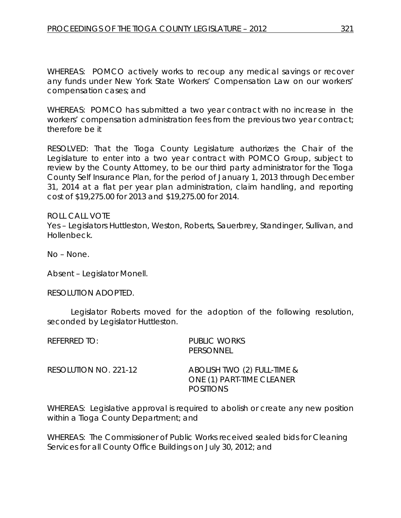WHEREAS: POMCO actively works to recoup any medical savings or recover any funds under New York State Workers' Compensation Law on our workers' compensation cases; and

WHEREAS: POMCO has submitted a two year contract with no increase in the workers' compensation administration fees from the previous two year contract; therefore be it

RESOLVED: That the Tioga County Legislature authorizes the Chair of the Legislature to enter into a two year contract with POMCO Group, subject to review by the County Attorney, to be our third party administrator for the Tioga County Self Insurance Plan, for the period of January 1, 2013 through December 31, 2014 at a flat per year plan administration, claim handling, and reporting cost of \$19,275.00 for 2013 and \$19,275.00 for 2014.

ROLL CALL VOTE Yes – Legislators Huttleston, Weston, Roberts, Sauerbrey, Standinger, Sullivan, and Hollenbeck.

No – None.

Absent – Legislator Monell.

RESOLUTION ADOPTED.

Legislator Roberts moved for the adoption of the following resolution, seconded by Legislator Huttleston.

| referred to:          | <b>PUBLIC WORKS</b><br>PERSONNEL                                             |
|-----------------------|------------------------------------------------------------------------------|
| RESOLUTION NO. 221-12 | ABOLISH TWO (2) FULL-TIME &<br>ONE (1) PART-TIME CLEANER<br><b>POSITIONS</b> |

WHEREAS: Legislative approval is required to abolish or create any new position within a Tioga County Department; and

WHEREAS: The Commissioner of Public Works received sealed bids for Cleaning Services for all County Office Buildings on July 30, 2012; and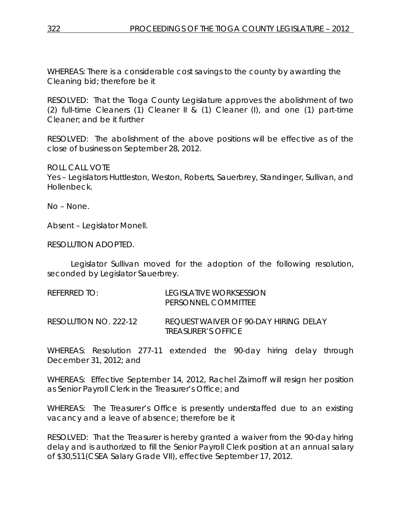WHEREAS: There is a considerable cost savings to the county by awarding the Cleaning bid; therefore be it

RESOLVED: That the Tioga County Legislature approves the abolishment of two (2) full-time Cleaners (1) Cleaner II & (1) Cleaner (I), and one (1) part-time Cleaner; and be it further

RESOLVED: The abolishment of the above positions will be effective as of the close of business on September 28, 2012.

ROLL CALL VOTE

Yes – Legislators Huttleston, Weston, Roberts, Sauerbrey, Standinger, Sullivan, and Hollenbeck.

No – None.

Absent – Legislator Monell.

RESOLUTION ADOPTED.

Legislator Sullivan moved for the adoption of the following resolution, seconded by Legislator Sauerbrey.

| REFERRED TO:          | LEGISLATIVE WORKSESSION<br>PERSONNEL COMMITTEE                            |
|-----------------------|---------------------------------------------------------------------------|
| RESOLUTION NO. 222-12 | REQUEST WAIVER OF 90-DAY HIRING DELAY<br><i><b>TREASURER'S OFFICE</b></i> |

WHEREAS: Resolution 277-11 extended the 90-day hiring delay through December 31, 2012; and

WHEREAS: Effective September 14, 2012, Rachel Zaimoff will resign her position as Senior Payroll Clerk in the Treasurer's Office; and

WHEREAS: The Treasurer's Office is presently understaffed due to an existing vacancy and a leave of absence; therefore be it

RESOLVED: That the Treasurer is hereby granted a waiver from the 90-day hiring delay and is authorized to fill the Senior Payroll Clerk position at an annual salary of \$30,511(CSEA Salary Grade VII), effective September 17, 2012.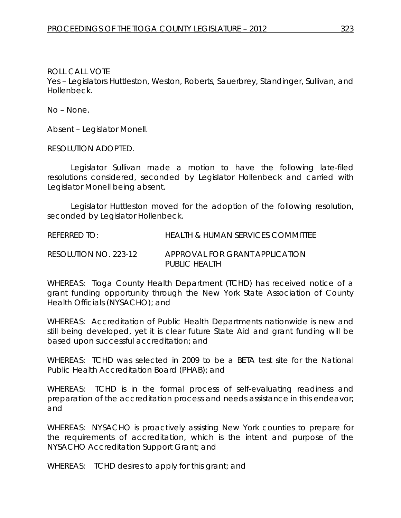ROLL CALL VOTE

Yes – Legislators Huttleston, Weston, Roberts, Sauerbrey, Standinger, Sullivan, and Hollenbeck.

No – None.

Absent – Legislator Monell.

RESOLUTION ADOPTED.

Legislator Sullivan made a motion to have the following late-filed resolutions considered, seconded by Legislator Hollenbeck and carried with Legislator Monell being absent.

Legislator Huttleston moved for the adoption of the following resolution, seconded by Legislator Hollenbeck.

REFERRED TO: HEALTH & HUMAN SERVICES COMMITTEE

RESOLUTION NO. 223-12 *APPROVAL FOR GRANT APPLICATION PUBLIC HEALTH*

WHEREAS: Tioga County Health Department (TCHD) has received notice of a grant funding opportunity through the New York State Association of County Health Officials (NYSACHO); and

WHEREAS: Accreditation of Public Health Departments nationwide is new and still being developed, yet it is clear future State Aid and grant funding will be based upon successful accreditation; and

WHEREAS: TCHD was selected in 2009 to be a BETA test site for the National Public Health Accreditation Board (PHAB); and

WHEREAS: TCHD is in the formal process of self-evaluating readiness and preparation of the accreditation process and needs assistance in this endeavor; and

WHEREAS: NYSACHO is proactively assisting New York counties to prepare for the requirements of accreditation, which is the intent and purpose of the NYSACHO Accreditation Support Grant; and

WHEREAS: TCHD desires to apply for this grant; and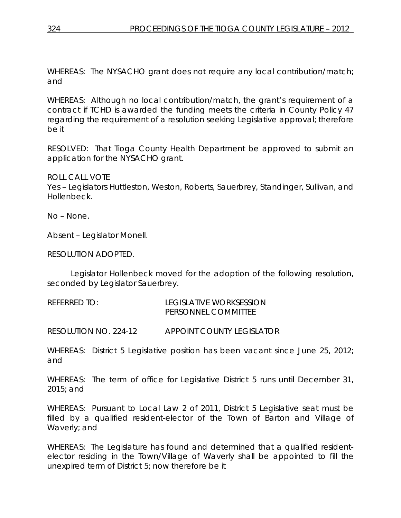WHEREAS: The NYSACHO grant does not require any local contribution/match; and

WHEREAS: Although no local contribution/match, the grant's requirement of a contract if TCHD is awarded the funding meets the criteria in County Policy 47 regarding the requirement of a resolution seeking Legislative approval; therefore be it

RESOLVED: That Tioga County Health Department be approved to submit an application for the NYSACHO grant.

ROLL CALL VOTE

Yes – Legislators Huttleston, Weston, Roberts, Sauerbrey, Standinger, Sullivan, and Hollenbeck.

No – None.

Absent – Legislator Monell.

RESOLUTION ADOPTED.

Legislator Hollenbeck moved for the adoption of the following resolution, seconded by Legislator Sauerbrey.

| REFERRED TO: | LEGISLATIVE WORKSESSION    |
|--------------|----------------------------|
|              | <b>PERSONNEL COMMITTEE</b> |

RESOLUTION NO. 224-12 *APPOINT COUNTY LEGISLATOR*

WHEREAS: District 5 Legislative position has been vacant since June 25, 2012; and

WHEREAS: The term of office for Legislative District 5 runs until December 31, 2015; and

WHEREAS: Pursuant to Local Law 2 of 2011, District 5 Legislative seat must be filled by a qualified resident-elector of the Town of Barton and Village of Waverly; and

WHEREAS: The Legislature has found and determined that a qualified residentelector residing in the Town/Village of Waverly shall be appointed to fill the unexpired term of District 5; now therefore be it